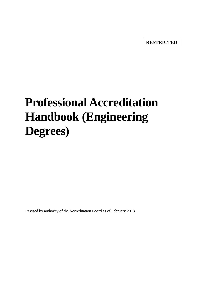**RESTRICTED**

# **Professional Accreditation Handbook (Engineering Degrees)**

Revised by authority of the Accreditation Board as of February 2013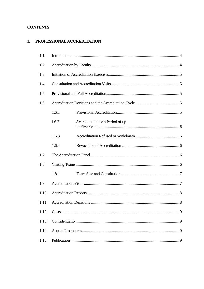# **CONTENTS**

# 1. PROFESSIONAL ACCREDITATION

| 1.1  |       |                                  |  |  |  |
|------|-------|----------------------------------|--|--|--|
| 1.2  |       |                                  |  |  |  |
| 1.3  |       |                                  |  |  |  |
| 1.4  |       |                                  |  |  |  |
| 1.5  |       |                                  |  |  |  |
| 1.6  |       |                                  |  |  |  |
|      | 1.6.1 |                                  |  |  |  |
|      | 1.6.2 | Accreditation for a Period of up |  |  |  |
|      | 1.6.3 |                                  |  |  |  |
|      | 1.6.4 |                                  |  |  |  |
| 1.7  |       |                                  |  |  |  |
| 1.8  |       |                                  |  |  |  |
|      | 1.8.1 |                                  |  |  |  |
| 1.9  |       |                                  |  |  |  |
| 1.10 |       |                                  |  |  |  |
| 1.11 |       |                                  |  |  |  |
| 1.12 |       |                                  |  |  |  |
| 1.13 |       |                                  |  |  |  |
| 1.14 |       |                                  |  |  |  |
| 1.15 |       |                                  |  |  |  |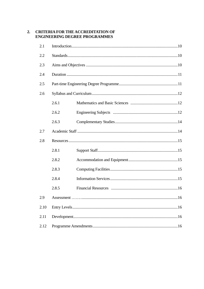## 2. CRITERIA FOR THE ACCREDITATION OF **ENGINEERING DEGREE PROGRAMMES**

| 2.1  |       |  |  |  |  |
|------|-------|--|--|--|--|
| 2.2  |       |  |  |  |  |
| 2.3  |       |  |  |  |  |
| 2.4  |       |  |  |  |  |
| 2.5  |       |  |  |  |  |
| 2.6  |       |  |  |  |  |
|      | 2.6.1 |  |  |  |  |
|      | 2.6.2 |  |  |  |  |
|      | 2.6.3 |  |  |  |  |
| 2.7  |       |  |  |  |  |
| 2.8  |       |  |  |  |  |
|      | 2.8.1 |  |  |  |  |
|      | 2.8.2 |  |  |  |  |
|      | 2.8.3 |  |  |  |  |
|      | 2.8.4 |  |  |  |  |
|      | 2.8.5 |  |  |  |  |
| 2.9  |       |  |  |  |  |
| 2.10 |       |  |  |  |  |
| 2.11 |       |  |  |  |  |
| 2.12 |       |  |  |  |  |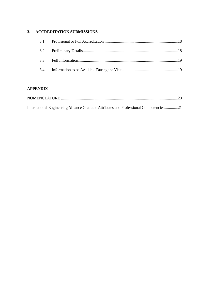# **3. ACCREDITATION SUBMISSIONS**

| 3.4 |  |
|-----|--|

# **APPENDIX**

| International Engineering Alliance Graduate Attributes and Professional Competencies21 |  |
|----------------------------------------------------------------------------------------|--|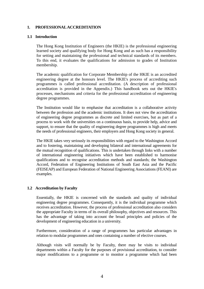## **1. PROFESSIONAL ACCREDITATION**

## **1.1 Introduction**

 The Hong Kong Institution of Engineers (the HKIE) is the professional engineering learned society and qualifying body for Hong Kong and as such has a responsibility for setting and maintaining the professional and technical standards of its members. To this end, it evaluates the qualifications for admission to grades of Institution membership.

 The academic qualification for Corporate Membership of the HKIE is an accredited engineering degree at the honours level. The HKIE's process of accrediting such programmes is called professional accreditation. (A description of professional accreditation is provided in the Appendix.) This handbook sets out the HKIE's processes, mechanisms and criteria for the professional accreditation of engineering degree programmes.

The Institution would like to emphasise that accreditation is a collaborative activity between the profession and the academic institutions. It does not view the accreditation of engineering degree programmes as discrete and limited exercises, but as part of a process to work with the universities on a continuous basis, to provide help, advice and support, to ensure that the quality of engineering degree programmes is high and meets the needs of professional engineers, their employers and Hong Kong society in general.

 The HKIE takes very seriously its responsibilities with regard to the Washington Accord and to fostering, maintaining and developing bilateral and international agreements for the mutual recognition of qualifications. This is undertaken through links with a number of international engineering initiatives which have been established to harmonise qualifications and to recognise accreditation methods and standards; the Washington Accord, Federation of Engineering Institutions of South East Asia and the Pacific (FEISEAP) and European Federation of National Engineering Associations (FEANI) are examples.

## **1.2 Accreditation by Faculty**

 Essentially, the HKIE is concerned with the standards and quality of individual engineering degree programmes. Consequently, it is the individual programme which receives accreditation. However, the process of professional accreditation also considers the appropriate Faculty in terms of its overall philosophy, objectives and resources. This has the advantage of taking into account the broad principles and policies of the development of engineering education in a university.

 Furthermore, consideration of a range of programmes has particular advantages in relation to modular programmes and ones containing a number of elective courses.

 Although visits will normally be by Faculty, there may be visits to individual departments within a Faculty for the purposes of provisional accreditation, to consider major modifications to a programme or to monitor a programme which had been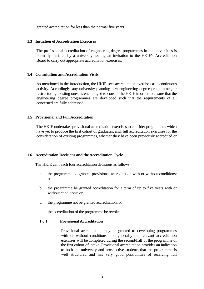granted accreditation for less than the normal five years.

#### **1.3 Initiation of Accreditation Exercises**

 The professional accreditation of engineering degree programmes in the universities is normally initiated by a university issuing an invitation to the HKIE's Accreditation Board to carry out appropriate accreditation exercises.

## **1.4 Consultation and Accreditation Visits**

 As mentioned in the introduction, the HKIE sees accreditation exercises as a continuous activity. Accordingly, any university planning new engineering degree programmes, or restructuring existing ones, is encouraged to consult the HKIE in order to ensure that the engineering degree programmes are developed such that the requirements of all concerned are fully addressed.

## **1.5 Provisional and Full Accreditation**

 The HKIE undertakes provisional accreditation exercises to consider programmes which have yet to produce the first cohort of graduates, and, full accreditation exercises for the consideration of existing programmes, whether they have been previously accredited or not.

## **1.6 Accreditation Decisions and the Accreditation Cycle**

The HKIE can reach four accreditation decisions as follows:

- a. the programme be granted provisional accreditation with or without conditions; or
- b. the programme be granted accreditation for a term of up to five years with or without conditions; or
- c. the programme not be granted accreditation; or
- d. the accreditation of the programme be revoked.

## **1.6.1 Provisional Accreditation**

 Provisional accreditation may be granted to developing programmes with or without conditions, and generally the relevant accreditation exercises will be completed during the second-half of the programme of the first cohort of intake. Provisional accreditation provides an indication to both the university and prospective students that the programme is well structured and has very good possibilities of receiving full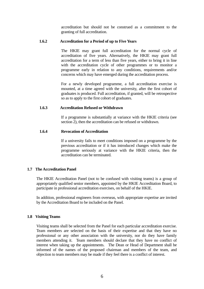accreditation but should not be construed as a commitment to the granting of full accreditation.

## **1.6.2 Accreditation for a Period of up to Five Years**

 The HKIE may grant full accreditation for the normal cycle of accreditation of five years. Alternatively, the HKIE may grant full accreditation for a term of less than five years, either to bring it in line with the accreditation cycle of other programmes or to monitor a programme early in relation to any conditions, requirements and/or concerns which may have emerged during the accreditation process.

 For a newly developed programme, a full accreditation exercise is mounted, at a time agreed with the university, after the first cohort of graduates is produced. Full accreditation, if granted, will be retrospective so as to apply to the first cohort of graduates.

## **1.6.3 Accreditation Refused or Withdrawn**

 If a programme is substantially at variance with the HKIE criteria (see section 2), then the accreditation can be refused or withdrawn.

## **1.6.4 Revocation of Accreditation**

 If a university fails to meet conditions imposed on a programme by the previous accreditation or if it has introduced changes which make the programme seriously at variance with the HKIE criteria, then the accreditation can be terminated.

## **1.7 The Accreditation Panel**

 The HKIE Accreditation Panel (not to be confused with visiting teams) is a group of appropriately qualified senior members, appointed by the HKIE Accreditation Board, to participate in professional accreditation exercises, on behalf of the HKIE.

 In addition, professional engineers from overseas, with appropriate expertise are invited by the Accreditation Board to be included on the Panel.

## **1.8 Visiting Teams**

 Visiting teams shall be selected from the Panel for each particular accreditation exercise. Team members are selected on the basis of their expertise and that they have no professional or any other association with the university, nor do they have family members attending it. Team members should declare that they have no conflict of interest when taking up the appointments. The Dean or Head of Department shall be informed of the names of the proposed chairman and members of the team, and objection to team members may be made if they feel there is a conflict of interest.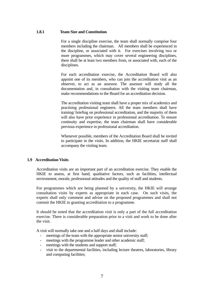## **1.8.1 Team Size and Constitution**

 For a single discipline exercise, the team shall normally comprise four members including the chairman. All members shall be experienced in the discipline, or associated with it. For exercises involving two or more programmes, which may cover several engineering disciplines, there shall be at least two members from, or associated with, each of the disciplines.

 For each accreditation exercise, the Accreditation Board will also appoint one of its members, who can join the accreditation visit as an observer, to act as an assessor. The assessor will study all the documentation and, in consultation with the visiting team chairman, make recommendations to the Board for an accreditation decision.

 The accreditation visiting team shall have a proper mix of academics and practising professional engineers. All the team members shall have training/ briefing on professional accreditation, and the majority of them will also have prior experience in professional accreditation. To ensure continuity and expertise, the team chairman shall have considerable previous experience in professional accreditation.

 Whenever possible, members of the Accreditation Board shall be invited to participate in the visits. In addition, the HKIE secretariat staff shall accompany the visiting team.

## **1.9 Accreditation Visits**

 Accreditation visits are an important part of an accreditation exercise. They enable the HKIE to assess, at first hand, qualitative factors, such as facilities, intellectual environment, morale, professional attitudes and the quality of staff and students.

 For programmes which are being planned by a university, the HKIE will arrange consultation visits by experts as appropriate in each case. On such visits, the experts shall only comment and advise on the proposed programmes and shall not commit the HKIE to granting accreditation to a programme.

 It should be noted that the accreditation visit is only a part of the full accreditation exercise. There is considerable preparation prior to a visit and work to be done after the visit.

A visit will normally take one and a half days and shall include:

- meetings of the team with the appropriate senior university staff;
- meetings with the programme leader and other academic staff;
- meetings with the students and support staff;
- visit to the departmental facilities, including lecture theatres, laboratories, library and computing facilities;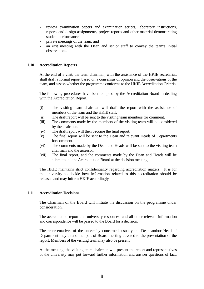- review examination papers and examination scripts, laboratory instructions, reports and design assignments, project reports and other material demonstrating student performance;
- private meetings of the team; and
- an exit meeting with the Dean and senior staff to convey the team's initial observations.

## **1.10 Accreditation Reports**

 At the end of a visit, the team chairman, with the assistance of the HKIE secretariat, shall draft a formal report based on a consensus of opinion and the observations of the team, and assess whether the programme conforms to the HKIE Accreditation Criteria.

 The following procedures have been adopted by the Accreditation Board in dealing with the Accreditation Report.

- (i) The visiting team chairman will draft the report with the assistance of members of the team and the HKIE staff.
- (ii) The draft report will be sent to the visiting team members for comment.
- (iii) The comments made by the members of the visiting team will be considered by the chairman.
- (iv) The draft report will then become the final report.
- (v) The final report will be sent to the Dean and relevant Heads of Departments for comment.
- (vi) The comments made by the Dean and Heads will be sent to the visiting team chairman and the assessor.
- (vii) The final report, and the comments made by the Dean and Heads will be submitted to the Accreditation Board at the decision meeting.

 The HKIE maintains strict confidentiality regarding accreditation matters. It is for the university to decide how information related to this accreditation should be released and may inform HKIE accordingly.

## **1.11 Accreditation Decisions**

 The Chairman of the Board will initiate the discussion on the programme under consideration.

 The accreditation report and university responses, and all other relevant information and correspondence will be passed to the Board for a decision.

 The representatives of the university concerned, usually the Dean and/or Head of Department may attend that part of Board meeting devoted to the presentation of the report. Members of the visiting team may also be present.

 At the meeting, the visiting team chairman will present the report and representatives of the university may put forward further information and answer questions of fact.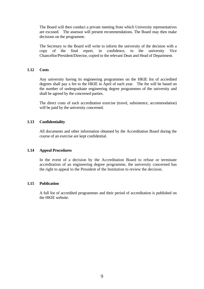The Board will then conduct a private meeting from which University representatives are excused. The assessor will present recommendations. The Board may then make decisions on the programme.

 The Secretary to the Board will write to inform the university of the decision with a copy of the final report, in confidence, to the university Vice Chancellor/President/Director, copied to the relevant Dean and Head of Department.

## **1.12 Costs**

 Any university having its engineering programmes on the HKIE list of accredited degrees shall pay a fee to the HKIE in April of each year. The fee will be based on the number of undergraduate engineering degree programmes of the university and shall be agreed by the concerned parties.

 The direct costs of each accreditation exercise (travel, subsistence, accommodation) will be paid by the university concerned.

## **1.13 Confidentiality**

 All documents and other information obtained by the Accreditation Board during the course of an exercise are kept confidential.

## **1.14 Appeal Procedures**

 In the event of a decision by the Accreditation Board to refuse or terminate accreditation of an engineering degree programme, the university concerned has the right to appeal to the President of the Institution to review the decision.

## **1.15 Publication**

 A full list of accredited programmes and their period of accreditation is published on the HKIE website.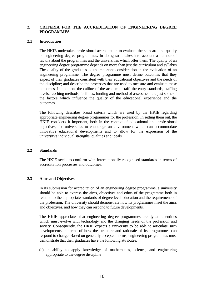## **2. CRITERIA FOR THE ACCREDITATION OF ENGINEERING DEGREE PROGRAMMES**

### **2.1 Introduction**

 The HKIE undertakes professional accreditation to evaluate the standard and quality of engineering degree programmes. In doing so it takes into account a number of factors about the programmes and the universities which offer them. The quality of an engineering degree programme depends on more than just the curriculum and syllabus. The quality of the graduates is an important consideration in the evaluation of an engineering programme. The degree programme must define outcomes that they expect of their graduates consistent with their educational objectives and the needs of the discipline; and describe the processes that are used to measure and evaluate these outcomes. In addition, the calibre of the academic staff, the entry standards, staffing levels, teaching methods, facilities, funding and method of assessment are just some of the factors which influence the quality of the educational experience and the outcomes.

 The following describes broad criteria which are used by the HKIE regarding appropriate engineering degree programmes for the profession. In setting them out, the HKIE considers it important, both in the context of educational and professional objectives, for universities to encourage an environment which can accommodate innovative educational developments and to allow for the expression of the university's individual strengths, qualities and ideals.

## **2.2 Standards**

 The HKIE seeks to conform with internationally recognised standards in terms of accreditation processes and outcomes.

## **2.3 Aims and Objectives**

 In its submission for accreditation of an engineering degree programme, a university should be able to express the aims, objectives and ethos of the programme both in relation to the appropriate standards of degree level education and the requirements of the profession. The university should demonstrate how its programmes meet the aims and objectives, and how they can respond to future developments.

 The HKIE appreciates that engineering degree programmes are dynamic entities which must evolve with technology and the changing needs of the profession and society. Consequently, the HKIE expects a university to be able to articulate such developments in terms of how the structure and rationale of its programmes can respond to change. Based on generally accepted norms, engineering programmes must demonstrate that their graduates have the following attributes:

(a) an ability to apply knowledge of mathematics, science, and engineering appropriate to the degree discipline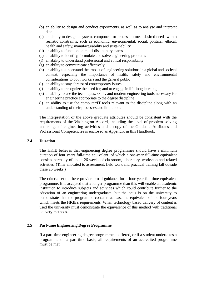- (b) an ability to design and conduct experiments, as well as to analyse and interpret data
- (c) an ability to design a system, component or process to meet desired needs within realistic constraints, such as economic, environmental, social, political, ethical, health and safety, manufacturability and sustainability
- (d) an ability to function on multi-disciplinary teams
- (e) an ability to identify, formulate and solve engineering problems
- (f) an ability to understand professional and ethical responsibility
- (g) an ability to communicate effectively
- (h) an ability to understand the impact of engineering solutions in a global and societal context, especially the importance of health, safety and environmental considerations to both workers and the general public
- (i) an ability to stay abreast of contemporary issues
- (j) an ability to recognize the need for, and to engage in life-long learning
- (k) an ability to use the techniques, skills, and modern engineering tools necessary for engineering practice appropriate to the degree discipline
- (l) an ability to use the computer/IT tools relevant to the discipline along with an understanding of their processes and limitations

The interpretation of the above graduate attributes should be consistent with the requirements of the Washington Accord, including the level of problem solving and range of engineering activities and a copy of the Graduate Attributes and Professional Competencies is enclosed as Appendix in this Handbook.

#### **2.4 Duration**

 The HKIE believes that engineering degree programmes should have a minimum duration of four years full-time equivalent, of which a one-year full-time equivalent consists normally of about 26 weeks of classroom, laboratory, workshop and related activities. (Time allocated to assessment, field work and practical training fall outside these 26 weeks.)

 The criteria set out here provide broad guidance for a four year full-time equivalent programme. It is accepted that a longer programme than this will enable an academic institution to introduce subjects and activities which could contribute further to the education of an engineering undergraduate, but the onus is on the university to demonstrate that the programme contains at least the equivalent of the four years which meets the HKIE's requirements. When technology based delivery of content is used the university must demonstrate the equivalence of this method with traditional delivery methods.

#### **2.5 Part-time Engineering Degree Programme**

 If a part-time engineering degree programme is offered, or if a student undertakes a programme on a part-time basis, all requirements of an accredited programme must be met.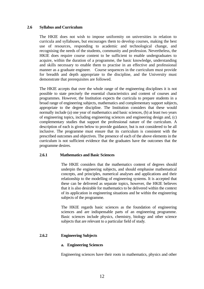## **2.6 Syllabus and Curriculum**

 The HKIE does not wish to impose uniformity on universities in relation to curricula and syllabuses, but encourages them to develop courses, making the best use of resources, responding to academic and technological change, and recognising the needs of the students, community and profession. Nevertheless, the HKIE does require course content to be sufficient to enable undergraduates to acquire, within the duration of a programme, the basic knowledge, understanding and skills necessary to enable them to practise in an effective and professional manner as a graduate engineer. Course sequences in the curriculum must provide for breadth and depth appropriate to the discipline, and the University must demonstrate that prerequisites are followed.

 The HKIE accepts that over the whole range of the engineering disciplines it is not possible to state precisely the essential characteristics and content of courses and programmes. However, the Institution expects the curricula to prepare students in a broad range of engineering subjects, mathematics and complementary support subjects, appropriate to the degree discipline. The Institution considers that these would normally include (a) one year of mathematics and basic sciences, (b) at least two years of engineering topics, including engineering sciences and engineering design and, (c) complementary studies that support the professional nature of the curriculum. A description of each is given below to provide guidance, but is not considered to be all inclusive. The programme must ensure that its curriculum is consistent with the prescribed outcomes and objectives. The presence of each of the above elements in the curriculum is not sufficient evidence that the graduates have the outcomes that the programme desires.

## **2.6.1 Mathematics and Basic Sciences**

 The HKIE considers that the mathematics content of degrees should underpin the engineering subjects, and should emphasise mathematical concepts, and principles, numerical analyses and applications and their relationship to the modelling of engineering systems. It is accepted that these can be delivered as separate topics, however, the HKIE believes that it is also desirable for mathematics to be delivered within the context of its application in engineering situations and be within the engineering subjects of the programme.

 The HKIE regards basic sciences as the foundation of engineering sciences and are indispensable parts of an engineering programme. Basic sciences include physics, chemistry, biology and other science subjects that are relevant to a particular field of study.

## **2.6.2 Engineering Subjects**

## **a. Engineering Sciences**

Engineering sciences have their roots in mathematics, physics and other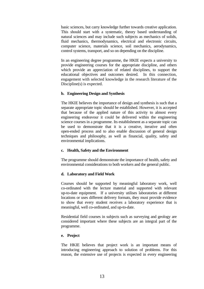basic sciences, but carry knowledge further towards creative application. This should start with a systematic, theory based understanding of natural sciences and may include such subjects as mechanics of solids, fluid mechanics, thermodynamics, electrical and electronic circuits, computer science, materials science, soil mechanics, aerodynamics, control systems, transport, and so on depending on the discipline.

 In an engineering degree programme, the HKIE expects a university to provide engineering courses for the appropriate discipline, and others which provide an appreciation of related disciplines, to support the educational objectives and outcomes desired. In this connection, engagement with selected knowledge in the research literature of the Discipline(s) is expected.

#### **b. Engineering Design and Synthesis**

 The HKIE believes the importance of design and synthesis is such that a separate appropriate topic should be established. However, it is accepted that because of the applied nature of this activity to almost every engineering endeavour it could be delivered within the engineering science courses in a programme. Its establishment as a separate topic can be used to demonstrate that it is a creative, iterative and often open-ended process and to also enable discussion of general design techniques and philosophy, as well as financial, quality, safety and environmental implications.

## **c. Health, Safety and the Environment**

 The programme should demonstrate the importance of health, safety and environmental considerations to both workers and the general public.

## **d. Laboratory and Field Work**

 Courses should be supported by meaningful laboratory work, well co-ordinated with the lecture material and supported with relevant up-to-date equipment. If a university utilises laboratories at different locations or uses different delivery formats, they must provide evidence to show that every student receives a laboratory experience that is meaningful, well co-ordinated, and up-to-date.

 Residential field courses in subjects such as surveying and geology are considered important where these subjects are an integral part of the programme.

#### **e. Project**

 The HKIE believes that project work is an important means of introducing engineering approach to solution of problems. For this reason, the extensive use of projects is expected in every engineering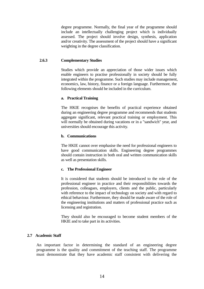degree programme. Normally, the final year of the programme should include an intellectually challenging project which is individually assessed. The project should involve design, synthesis, application and/or creativity. The assessment of the project should have a significant weighting in the degree classification.

## **2.6.3 Complementary Studies**

 Studies which provide an appreciation of those wider issues which enable engineers to practise professionally in society should be fully integrated within the programme. Such studies may include management, economics, law, history, finance or a foreign language. Furthermore, the following elements should be included in the curriculum.

## **a. Practical Training**

 The HKIE recognises the benefits of practical experience obtained during an engineering degree programme and recommends that students aggregate significant, relevant practical training or employment. This will normally be obtained during vacations or in a "sandwich" year, and universities should encourage this activity.

## **b. Communications**

 The HKIE cannot over emphasise the need for professional engineers to have good communication skills. Engineering degree programmes should contain instruction in both oral and written communication skills as well as presentation skills.

## **c. The Professional Engineer**

 It is considered that students should be introduced to the role of the professional engineer in practice and their responsibilities towards the profession, colleagues, employers, clients and the public, particularly with reference to the impact of technology on society and with regard to ethical behaviour. Furthermore, they should be made aware of the role of the engineering institutions and matters of professional practice such as licensing and registration.

 They should also be encouraged to become student members of the HKIE and to take part in its activities.

## **2.7 Academic Staff**

 An important factor in determining the standard of an engineering degree programme is the quality and commitment of the teaching staff. The programme must demonstrate that they have academic staff consistent with delivering the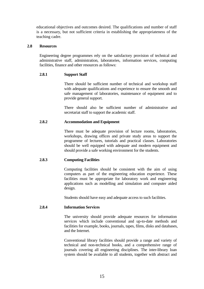educational objectives and outcomes desired. The qualifications and number of staff is a necessary, but not sufficient criteria in establishing the appropriateness of the teaching cadre.

## **2.8 Resources**

 Engineering degree programmes rely on the satisfactory provision of technical and administrative staff, administration, laboratories, information services, computing facilities, finance and other resources as follows:

## **2.8.1 Support Staff**

 There should be sufficient number of technical and workshop staff with adequate qualifications and experience to ensure the smooth and safe management of laboratories, maintenance of equipment and to provide general support.

 There should also be sufficient number of administrative and secretariat staff to support the academic staff.

## **2.8.2 Accommodation and Equipment**

 There must be adequate provision of lecture rooms, laboratories, workshops, drawing offices and private study areas to support the programme of lectures, tutorials and practical classes. Laboratories should be well equipped with adequate and modern equipment and should provide a safe working environment for the students.

## **2.8.3 Computing Facilities**

 Computing facilities should be consistent with the aim of using computers as part of the engineering education experience. These facilities must be appropriate for laboratory work and engineering applications such as modelling and simulation and computer aided design.

Students should have easy and adequate access to such facilities.

## **2.8.4 Information Services**

 The university should provide adequate resources for information services which include conventional and up-to-date methods and facilities for example, books, journals, tapes, films, disks and databases, and the Internet.

 Conventional library facilities should provide a range and variety of technical and non-technical books, and a comprehensive range of journals covering all engineering disciplines. The inter-library loan system should be available to all students, together with abstract and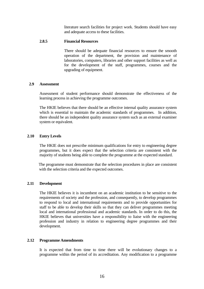literature search facilities for project work. Students should have easy and adequate access to these facilities.

#### **2.8.5 Financial Resources**

 There should be adequate financial resources to ensure the smooth operation of the department, the provision and maintenance of laboratories, computers, libraries and other support facilities as well as for the development of the staff, programmes, courses and the upgrading of equipment.

#### **2.9 Assessment**

 Assessment of student performance should demonstrate the effectiveness of the learning process in achieving the programme outcomes.

 The HKIE believes that there should be an effective internal quality assurance system which is essential to maintain the academic standards of programmes. In addition, there should be an independent quality assurance system such as an external examiner system or equivalent.

#### **2.10 Entry Levels**

 The HKIE does not prescribe minimum qualifications for entry to engineering degree programmes, but it does expect that the selection criteria are consistent with the majority of students being able to complete the programme at the expected standard.

The programme must demonstrate that the selection procedures in place are consistent with the selection criteria and the expected outcomes.

#### **2.11 Development**

 The HKIE believes it is incumbent on an academic institution to be sensitive to the requirements of society and the profession, and consequently, to develop programmes to respond to local and international requirements and to provide opportunities for staff to be able to develop their skills so that they can deliver programmes meeting local and international professional and academic standards. In order to do this, the HKIE believes that universities have a responsibility to liaise with the engineering profession and industry in relation to engineering degree programmes and their development.

#### **2.12 Programme Amendments**

 It is expected that from time to time there will be evolutionary changes to a programme within the period of its accreditation. Any modification to a programme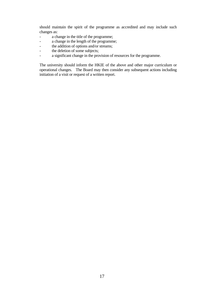should maintain the spirit of the programme as accredited and may include such changes as:

- a change in the title of the programme;
- a change in the length of the programme;
- the addition of options and/or streams;
- the deletion of some subjects;
- a significant change in the provision of resources for the programme.

 The university should inform the HKIE of the above and other major curriculum or operational changes. The Board may then consider any subsequent actions including initiation of a visit or request of a written report.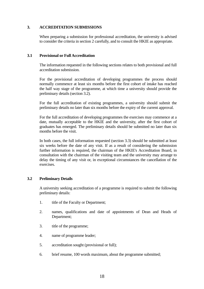## **3. ACCREDITATION SUBMISSIONS**

 When preparing a submission for professional accreditation, the university is advised to consider the criteria in section 2 carefully, and to consult the HKIE as appropriate.

## **3.1 Provisional or Full Accreditation**

 The information requested in the following sections relates to both provisional and full accreditation submission.

 For the provisional accreditation of developing programmes the process should normally commence at least six months before the first cohort of intake has reached the half way stage of the programme, at which time a university should provide the preliminary details (section 3.2).

 For the full accreditation of existing programmes, a university should submit the preliminary details no later than six months before the expiry of the current approval.

 For the full accreditation of developing programmes the exercises may commence at a date, mutually acceptable to the HKIE and the university, after the first cohort of graduates has emerged. The preliminary details should be submitted no later than six months before the visit.

 In both cases, the full information requested (section 3.3) should be submitted at least six weeks before the date of any visit. If as a result of considering the submission further information is required, the chairman of the HKIE's Accreditation Board, in consultation with the chairman of the visiting team and the university may arrange to delay the timing of any visit or, in exceptional circumstances the cancellation of the exercises.

## **3.2 Preliminary Details**

 A university seeking accreditation of a programme is required to submit the following preliminary details:

- 1. title of the Faculty or Department;
- 2. names, qualifications and date of appointments of Dean and Heads of Department;
- 3. title of the programme;
- 4. name of programme leader;
- 5. accreditation sought (provisional or full);
- 6. brief resume, 100 words maximum, about the programme submitted;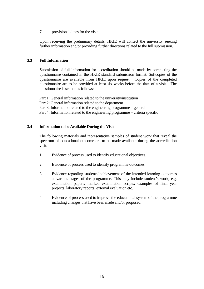7. provisional dates for the visit.

 Upon receiving the preliminary details, HKIE will contact the university seeking further information and/or providing further directions related to the full submission.

## **3.3 Full Information**

 Submission of full information for accreditation should be made by completing the questionnaire contained in the HKIE standard submission format. Softcopies of the questionnaire are available from HKIE upon request. Copies of the completed questionnaire are to be provided at least six weeks before the date of a visit. The questionnaire is set out as follows:

Part 1: General information related to the university/institution Part 2: General information related to the department Part 3: Information related to the engineering programme – general Part 4: Information related to the engineering programme – criteria specific

## **3.4 Information to be Available During the Visit**

 The following materials and representative samples of student work that reveal the spectrum of educational outcome are to be made available during the accreditation visit:

- 1. Evidence of process used to identify educational objectives.
- 2. Evidence of process used to identify programme outcomes.
- 3. Evidence regarding students' achievement of the intended learning outcomes at various stages of the programme. This may include student's work, e.g. examination papers; marked examination scripts; examples of final year projects, laboratory reports; external evaluation etc.
- 4. Evidence of process used to improve the educational system of the programme including changes that have been made and/or proposed.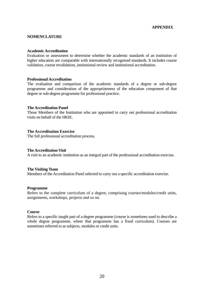## **APPENDIX**

#### **NOMENCLATURE**

#### **Academic Accreditation**

Evaluation or assessment to determine whether the academic standards of an institution of higher education are comparable with internationally recognised standards. It includes course validation, course revalidation, institutional review and institutional accreditation.

#### **Professional Accreditation**

The evaluation and comparison of the academic standards of a degree or sub-degree programme and consideration of the appropriateness of the education component of that degree or sub-degree programme for professional practice.

#### **The Accreditation Panel**

Those Members of the Institution who are appointed to carry out professional accreditation visits on behalf of the HKIE.

## **The Accreditation Exercise**

The full professional accreditation process.

## **The Accreditation Visit**

A visit to an academic institution as an integral part of the professional accreditation exercise.

#### **The Visiting Team**

Members of the Accreditation Panel selected to carry out a specific accreditation exercise.

#### **Programme**

Refers to the complete curriculum of a degree, comprising courses/modules/credit units, assignments, workshops, projects and so on.

#### **Course**

Refers to a specific taught part of a degree programme (course is sometimes used to describe a whole degree programme, where that programme has a fixed curriculum). Courses are sometimes referred to as subjects, modules or credit units.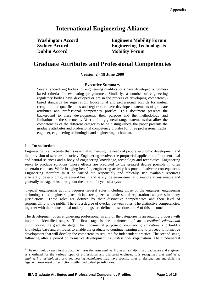# **International Engineering Alliance**

**Dublin Accord Mobility Forum** 

**Washington Accord Engineers Mobility Forum Sydney Accord Engineering Technologists** 

# **Graduate Attributes and Professional Competencies**

## **Version 2 - 18 June 2009**

#### **Executive Summary**

Several accrediting bodies for engineering qualifications have developed outcomesbased criteria for evaluating programmes. Similarly, a number of engineering regulatory bodies have developed or are in the process of developing competencybased standards for registration. Educational and professional accords for mutual recognition of qualifications and registration have developed statements of graduate attributes and professional competency profiles. This document presents the background to these developments, their purpose and the methodology and limitations of the statements. After defining general range statements that allow the competencies of the different categories to be distinguished, the paper presents the graduate attributes and professional competency profiles for three professional tracks: engineer, engineering technologist and engineering technician.

#### **1 Introduction**

-

Engineering is an activity that is essential to meeting the needs of people, economic development and the provision of services to society. Engineering involves the purposeful application of mathematical and natural sciences and a body of engineering knowledge, technology and techniques. Engineering seeks to produce solutions whose effects are predicted to the greatest degree possible in often uncertain contexts. While bringing benefits, engineering activity has potential adverse consequences. Engineering therefore must be carried out responsibly and ethically, use available resources efficiently, be economic, safeguard health and safety, be environmentally sound and sustainable and generally manage risks throughout the entire lifecycle of a system.

Typical engineering activity requires several roles including those of the engineer, engineering technologist and engineering technician, recognized as professional registration categories in many jurisdictions<sup>1</sup>. These roles are defined by their distinctive competencies and their level of responsibility to the public. There is a degree of overlap between roles. The distinctive competencies, together with their educational underpinnings, are defined in sections 4 to 6 of this document.

The development of an engineering professional in any of the categories is an ongoing process with important identified stages. The first stage is the attainment of an *accredited educational qualification*, the graduate stage. The fundamental purpose of *engineering education* is to build a knowledge base and attributes to enable the graduate to continue learning and to proceed to formative development that will develop the competencies required for independent practice. The second stage, following after a period of formative development, is *professional registration*. The fundamental

<sup>1</sup> The terminology used in this document uses the term *engineering* as an activity in a broad sense and *engineer*  as shorthand for the various types of professional and chartered engineer. It is recognized that *engineers*, *engineering technologists* and *engineering technicians* may have specific titles or designations and differing legal empowerment or restrictions within individual jurisdictions.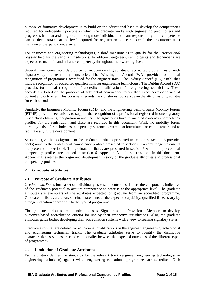purpose of formative development is to build on the educational base to develop the competencies required for independent practice in which the graduate works with engineering practitioners and progresses from an assisting role to taking more individual and team responsibility until competence can be demonstrated at the level required for registration. Once registered, the practitioner must maintain and expand competence.

For engineers and engineering technologists, a third milestone is to qualify for the *international register* held by the various jurisdictions. In addition, engineers, technologists and technicians are expected to maintain and enhance competency throughout their working lives.

Several international accords provide for recognition of graduates of accredited programmes of each signatory by the remaining signatories. The Washington Accord (WA) provides for mutual recognition of programmes accredited for the engineer track. The Sydney Accord (SA) establishes mutual recognition of accredited qualifications for engineering technologist. The Dublin Accord (DA) provides for mutual recognition of accredited qualifications for engineering technicians. These accords are based on the principle of substantial equivalence rather than exact correspondence of content and outcomes. This document records the signatories' consensus on the attributes of graduates for each accord.

Similarly, the Engineers Mobility Forum (EMF) and the Engineering Technologists Mobility Forum (ETMF) provide mechanisms to support the recognition of a professional registered in one signatory jurisdiction obtaining recognition in another. The signatories have formulated consensus competency profiles for the registration and these are recorded in this document. While no mobility forum currently exists for technicians, competency statements were also formulated for completeness and to facilitate any future development.

Section 2 give the background to the graduate attributes presented in section 5. Section 3 provides background to the professional competency profiles presented in section 6. General range statements are presented in section 4. The graduate attributes are presented in section 5 while the professional competency profiles are defined in section 6. Appendix A defines terms used in this document. Appendix B sketches the origin and development history of the graduate attributes and professional competency profiles.

## **2 Graduate Attributes**

## **2.1 Purpose of Graduate Attributes**

*Graduate attributes* form a set of individually assessable outcomes that are the components indicative of the graduate's potential to acquire competence to practise at the appropriate level. The graduate attributes are exemplars of the attributes expected of graduate from an accredited programme. Graduate attributes are clear, succinct statements of the expected capability, qualified if necessary by a range indication appropriate to the type of programme.

The graduate attributes are intended to assist Signatories and Provisional Members to develop outcomes-based accreditation criteria for use by their respective jurisdictions. Also, the graduate attributes guide bodies developing their accreditation systems with a view to seeking signatory status.

Graduate attributes are defined for educational qualifications in the engineer, engineering technologist and engineering technician tracks. The graduate attributes serve to identify the distinctive characteristics as well as areas of commonality between the expected outcomes of the different types of programmes.

## **2.2 Limitation of Graduate Attributes**

Each signatory defines the standards for the relevant track (engineer, engineering technologist or engineering technician) against which engineering educational programmes are accredited. Each

22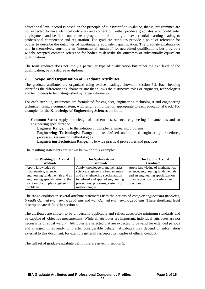educational level accord is based on the principle of *substantial equivalence*, that is, programmes are not expected to have identical outcomes and content but rather produce graduates who could enter employment and be fit to undertake a programme of training and experiential learning leading to professional competence and registration. The graduate attributes provide a point of reference for bodies to describe the outcomes of substantially equivalent qualification. The graduate attributes do not, in themselves, constitute an "international standard" for accredited qualifications but provide a widely accepted common reference for bodies to describe the outcomes of substantially equivalent qualifications.

The term graduate does not imply a particular type of qualification but rather the exit level of the qualification, be it a degree or diploma.

## **2.3 Scope and Organisation of Graduate Attributes**

The graduate attributes are organized using twelve headings shown in section 5.2. Each heading identifies the differentiating characteristic that allows the distinctive roles of engineers, technologists and technicians to be distinguished by range information.

For each attribute, statements are formulated for engineer, engineering technologist and engineering technician using a common stem, with ranging information appropriate to each educational track. For example, for the **Knowledge of Engineering Sciences** attribute:

**Common Stem:** Apply knowledge of mathematics, science, engineering fundamentals and an engineering specialization …

**Engineer Range:** … to the solution of complex engineering problems.

**Engineering Technologist Range:** … to defined and applied engineering procedures, processes, systems or methodologies.

**Engineering Technician Range:** … to wide practical procedures and practices.

| for Washington Accord             | for Sydney Accord                  | for Dublin Accord                 |
|-----------------------------------|------------------------------------|-----------------------------------|
| <b>Graduate</b>                   | <b>Graduate</b>                    | <b>Graduate</b>                   |
| Apply knowledge of                | Apply knowledge of mathematics,    | Apply knowledge of mathematics,   |
| mathematics, science,             | science, engineering fundamentals  | science, engineering fundamentals |
| engineering fundamentals and an   | and an engineering specialization  | and an engineering specialization |
| engineering specialization to the | to defined and applied engineering | to wide practical procedures and  |
| solution of complex engineering   | procedures, processes, systems or  | practices.                        |
| problems.                         | methodologies.                     |                                   |

The resulting statements are shown below for this example:

The range qualifier in several attribute statements uses the notions of *complex engineering problems*, *broadly-defined engineering problems* and *well-defined engineering problems*. These shorthand level descriptors are defined in section 4.

The attributes are chosen to be universally applicable and reflect acceptable minimum standards and be capable of objective measurement. While all attributes are important, individual attributes are not necessarily of equal weight. Attributes are selected that are expected to be valid for extended periods and changed infrequently only after considerable debate. Attributes may depend on information external to this document, for example generally accepted principles of ethical conduct.

The full set of graduate attribute definitions are given in section 5.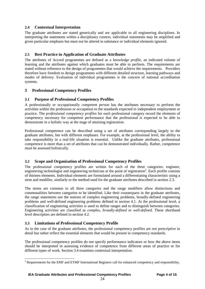## **2.4 Contextual Interpretation**

The graduate attributes are stated generically and are applicable to all engineering disciplines. In interpreting the statements within a disciplinary context, individual statements may be amplified and given particular emphasis but must not be altered in substance or individual elements ignored.

## **2.5 Best Practice in Application of Graduate Attributes**

The attributes of Accord programmes are defined as a *knowledge profile*, an indicated volume of learning and the attributes against which graduates must be able to perform. The requirements are stated without reference to the design of programmes that would achieve the requirements. Providers therefore have freedom to design programmes with different detailed structure, learning pathways and modes of delivery. Evaluation of individual programmes is the concern of national accreditation systems.

## **3 Professional Competency Profiles**

## **3.1 Purpose of Professional Competency Profiles**

A professionally or occupationally *competent person* has the attributes necessary to perform the activities within the profession or occupation to the standards expected in independent employment or practice. The *professional competency profiles* for each professional category record the elements of competency necessary for competent performance that the professional is expected to be able to demonstrate in a holistic way at the stage of attaining registration.

Professional competence can be described using a set of attributes corresponding largely to the graduate attributes, but with different emphases. For example, at the professional level, the ability to take responsibility in a real-life situation is essential. Unlike the graduate attributes, professional competence is more than a set of attributes that can be demonstrated individually. Rather, competence must be assessed holistically.

## **3.2 Scope and Organisation of Professional Competency Profiles**

The professional competency profiles are written for each of the three categories: engineer, engineering technologist and engineering technician at the point of registration<sup>2</sup>. Each profile consists of thirteen elements. Individual elements are formulated around a differentiating characteristic using a stem and modifier, similarly to the method used for the graduate attributes described in section 2.3.

The stems are common to all three categories and the range modifiers allow distinctions and commonalities between categories to be identified. Like their counterparts in the graduate attributes, the range statements use the notions of complex engineering problems, broadly-defined engineering problems and well-defined engineering problems defined in section 4.1. At the professional level, a classification of engineering activities is used to define ranges and to distinguish between categories. Engineering activities are classified as *complex*, *broadly-defined* or *well-defined*. These shorthand level descriptors are defined in section 4.2.

## **3.3 Limitations of Professional Competency Profile**

-

As in the case of the graduate attributes, the professional competency profiles are not prescriptive in detail but rather reflect the essential elements that would be present in competency standards.

The professional competency profiles do not specify performance indicators or how the above items should be interpreted in assessing evidence of competence from different areas of practice or for different types of work. Section 3.4 examines contextual interpretation.

<sup>&</sup>lt;sup>2</sup> Requirements for the EMF and ETMF International Registers call for enhanced competency and responsibility.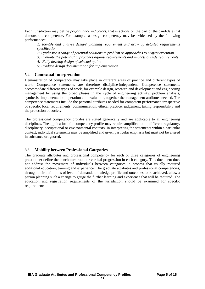Each jurisdiction may define *performance indicators***,** that is actions on the part of the candidate that demonstrate competence. For example, a design competency may be evidenced by the following performances:

*1: Identify and analyse design/ planning requirement and draw up detailed requirements specification* 

- *2: Synthesise a range of potential solutions to problem or approaches to project execution*
- *3: Evaluate the potential approaches against requirements and impacts outside requirements*
- *4: Fully develop design of selected option*
- *5: Produce design documentation for implementation*

#### **3.4 Contextual Interpretation**

Demonstration of competence may take place in different areas of practice and different types of work. Competence statements are therefore discipline-independent. Competence statements accommodate different types of work, for example design, research and development and engineering management by using the broad phases in the cycle of engineering activity: problem analysis, synthesis, implementation, operation and evaluation, together the management attributes needed. The competence statements include the personal attributes needed for competent performance irrespective of specific local requirements: communication, ethical practice, judgement, taking responsibility and the protection of society.

The professional competency profiles are stated generically and are applicable to all engineering disciplines. The application of a competency profile may require amplification in different regulatory, disciplinary, occupational or environmental contexts. In interpreting the statements within a particular context, individual statements may be amplified and given particular emphasis but must not be altered in substance or ignored.

#### **3.5 Mobility between Professional Categories**

The graduate attributes and professional competency for each of three categories of engineering practitioner define the benchmark route or vertical progression in each category. This document does not address the movement of individuals between categories, a process that usually required additional education, training and experience. The graduate attributes and professional competencies, through their definitions of level of demand, knowledge profile and outcomes to be achieved, allow a person planning such a change to gauge the further learning and experience that will be required. The education and registration requirements of the jurisdiction should be examined for specific requirements.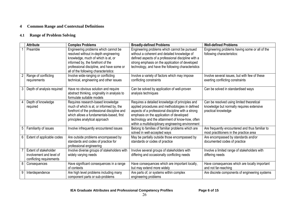# **4 Common Range and Contextual Definitions**

# **4.1 Range of Problem Solving**

|                | <b>Attribute</b>                                                              | <b>Complex Problems</b>                                                                                                                                                                                                                        | <b>Broadly-defined Problems</b>                                                                                                                                                                                                                                                                                | <b>Well-defined Problems</b>                                                                                  |
|----------------|-------------------------------------------------------------------------------|------------------------------------------------------------------------------------------------------------------------------------------------------------------------------------------------------------------------------------------------|----------------------------------------------------------------------------------------------------------------------------------------------------------------------------------------------------------------------------------------------------------------------------------------------------------------|---------------------------------------------------------------------------------------------------------------|
|                | Preamble                                                                      | Engineering problems which cannot be<br>resolved without in-depth engineering<br>knowledge, much of which is at, or<br>informed by, the forefront of the<br>professional discipline, and have some or<br>all of the following characteristics: | Engineering problems which cannot be pursued<br>without a coherent and detailed knowledge of<br>defined aspects of a professional discipline with a<br>strong emphasis on the application of developed<br>technology, and have the following characteristics                                                   | Engineering problems having some or all of the<br>following characteristics:                                  |
|                | Range of conflicting<br>requirements                                          | Involve wide-ranging or conflicting<br>technical, engineering and other issues                                                                                                                                                                 | Involve a variety of factors which may impose<br>conflicting constraints                                                                                                                                                                                                                                       | Involve several issues, but with few of these<br>exerting conflicting constraints                             |
| 3 <sup>1</sup> | Depth of analysis required                                                    | Have no obvious solution and require<br>abstract thinking, originality in analysis to<br>formulate suitable models                                                                                                                             | Can be solved by application of well-proven<br>analysis techniques                                                                                                                                                                                                                                             | Can be solved in standardised ways                                                                            |
|                | Depth of knowledge<br>required                                                | Requires research-based knowledge<br>much of which is at, or informed by, the<br>forefront of the professional discipline and<br>which allows a fundamentals-based, first<br>principles analytical approach                                    | Requires a detailed knowledge of principles and<br>applied procedures and methodologies in defined<br>aspects of a professional discipline with a strong<br>emphasis on the application of developed<br>technology and the attainment of know-how, often<br>within a multidisciplinary engineering environment | Can be resolved using limited theoretical<br>knowledge but normally requires extensive<br>practical knowledge |
| 5              | Familiarity of issues                                                         | Involve infrequently encountered issues                                                                                                                                                                                                        | Belong to families of familiar problems which are<br>solved in well-accepted ways                                                                                                                                                                                                                              | Are frequently encountered and thus familiar to<br>most practitioners in the practice area                    |
| 6              | Extent of applicable codes                                                    | Are outside problems encompassed by<br>standards and codes of practice for<br>professional engineering                                                                                                                                         | May be partially outside those encompassed by<br>standards or codes of practice                                                                                                                                                                                                                                | Are encompassed by standards and/or<br>documented codes of practice                                           |
|                | Extent of stakeholder<br>involvement and level of<br>conflicting requirements | Involve diverse groups of stakeholders with<br>widely varying needs                                                                                                                                                                            | Involve several groups of stakeholders with<br>differing and occasionally conflicting needs                                                                                                                                                                                                                    | Involve a limited range of stakeholders with<br>differing needs                                               |
| 8              | Consequences                                                                  | Have significant consequences in a range<br>of contexts                                                                                                                                                                                        | Have consequences which are important locally,<br>but may extend more widely                                                                                                                                                                                                                                   | Have consequences which are locally important<br>and not far-reaching                                         |
| 9              | Interdependence                                                               | Are high level problems including many<br>component parts or sub-problems                                                                                                                                                                      | Are parts of, or systems within complex<br>engineering problems                                                                                                                                                                                                                                                | Are discrete components of engineering systems                                                                |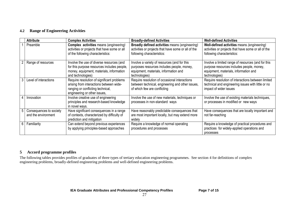## **4.2 Range of Engineering Activities**

|    | <b>Attribute</b>                               | <b>Complex Activities</b>                                                                                                                                  | <b>Broadly-defined Activities</b>                                                                                                                    | <b>Well-defined Activities</b>                                                                                                                            |
|----|------------------------------------------------|------------------------------------------------------------------------------------------------------------------------------------------------------------|------------------------------------------------------------------------------------------------------------------------------------------------------|-----------------------------------------------------------------------------------------------------------------------------------------------------------|
|    | Preamble                                       | <b>Complex activities means (engineering)</b><br>activities or projects that have some or all<br>of the following characteristics:                         | <b>Broadly defined activities means (engineering)</b><br>activities or projects that have some or all of the<br>following characteristics:           | Well-defined activities means (engineering)<br>activities or projects that have some or all of the<br>following characteristics:                          |
|    | Range of resources                             | Involve the use of diverse resources (and<br>for this purpose resources includes people,<br>money, equipment, materials, information<br>and technologies)  | Involve a variety of resources (and for this<br>purposes resources includes people, money,<br>equipment, materials, information and<br>technologies) | Involve a limited range of resources (and for this<br>purpose resources includes people, money,<br>equipment, materials, information and<br>technologies) |
|    | Level of interactions                          | Require resolution of significant problems<br>arising from interactions between wide-<br>ranging or conflicting technical,<br>engineering or other issues, | Require resolution of occasional interactions<br>between technical, engineering and other issues,<br>of which few are conflicting                    | Require resolution of interactions between limited<br>technical and engineering issues with little or no<br>impact of wider issues                        |
|    | Innovation                                     | Involve creative use of engineering<br>principles and research-based knowledge<br>in novel ways.                                                           | Involve the use of new materials, techniques or<br>processes in non-standard ways                                                                    | Involve the use of existing materials techniques,<br>or processes in modified or new ways                                                                 |
| 5. | Consequences to society<br>and the environment | Have significant consequences in a range<br>of contexts, characterized by difficulty of<br>prediction and mitigation                                       | Have reasonably predictable consequences that<br>are most important locally, but may extend more<br>widely                                           | Have consequences that are locally important and<br>not far-reaching                                                                                      |
| 6. | Familiarity                                    | Can extend beyond previous experiences<br>by applying principles-based approaches                                                                          | Require a knowledge of normal operating<br>procedures and processes                                                                                  | Require a knowledge of practical procedures and<br>practices for widely-applied operations and<br>processes                                               |

# **5 Accord programme profiles**

The following tables provides profiles of graduates of three types of tertiary education engineering programmes. See section 4 for definitions of complex engineering problems, broadly-defined engineering problems and well-defined engineering problems.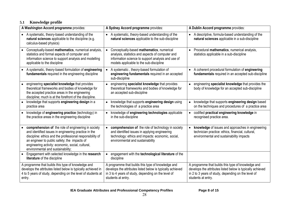# **5.1 Knowledge profile**

| A Washington Accord programme provides:                                                                                                                                                                                                                                                                            | A Sydney Accord programme provides:                                                                                                                                                                         | A Dublin Accord programme provides:                                                                                                                                                           |  |
|--------------------------------------------------------------------------------------------------------------------------------------------------------------------------------------------------------------------------------------------------------------------------------------------------------------------|-------------------------------------------------------------------------------------------------------------------------------------------------------------------------------------------------------------|-----------------------------------------------------------------------------------------------------------------------------------------------------------------------------------------------|--|
| • A systematic, theory-based understanding of the<br>natural sciences applicable to the discipline (e.g.<br>calculus-based physics)                                                                                                                                                                                | A systematic, theory-based understanding of the<br>$\bullet$<br>natural sciences applicable to the sub-discipline                                                                                           | • A descriptive, formula-based understanding of the<br>natural sciences applicable in a sub-discipline                                                                                        |  |
| Conceptually-based mathematics, numerical analysis,<br>statistics and formal aspects of computer and<br>information science to support analysis and modelling<br>applicable to the discipline                                                                                                                      | Conceptually-based mathematics, numerical<br>$\bullet$<br>analysis, statistics and aspects of computer and<br>information science to support analysis and use of<br>models applicable to the sub-discipline | Procedural mathematics, numerical analysis,<br>statistics applicable in a sub-discipline                                                                                                      |  |
| • A systematic, theory-based formulation of engineering<br>fundamentals required in the engineering discipline                                                                                                                                                                                                     | A systematic, theory-based formulation of<br>$\bullet$<br>engineering fundamentals required in an accepted<br>sub-discipline                                                                                | • A coherent procedural formulation of engineering<br>fundamentals required in an accepted sub-discipline                                                                                     |  |
| engineering specialist knowledge that provides<br>$\bullet$<br>theoretical frameworks and bodies of knowledge for<br>the accepted practice areas in the engineering<br>discipline; much is at the forefront of the discipline.                                                                                     | engineering specialist knowledge that provides<br>$\bullet$<br>theoretical frameworks and bodies of knowledge for<br>an accepted sub-discipline                                                             | engineering specialist knowledge that provides the<br>$\bullet$<br>body of knowledge for an accepted sub-discipline                                                                           |  |
| knowledge that supports engineering design in a<br>$\bullet$<br>practice area                                                                                                                                                                                                                                      | knowledge that supports engineering design using<br>the technologies of a practice area                                                                                                                     | knowledge that supports engineering design based<br>on the techniques and procedures of a practice area                                                                                       |  |
| knowledge of engineering practice (technology) in<br>$\bullet$<br>the practice areas in the engineering discipline                                                                                                                                                                                                 | knowledge of engineering technologies applicable<br>in the sub-discipline                                                                                                                                   | codified practical engineering knowledge in<br>recognised practice area.                                                                                                                      |  |
| comprehension of the role of engineering in society<br>and identified issues in engineering practice in the<br>discipline: ethics and the professional responsibility of<br>an engineer to public safety; the impacts of<br>engineering activity: economic, social, cultural,<br>environmental and sustainability; | comprehension of the role of technology in society<br>and identified issues in applying engineering<br>technology: ethics and impacts: economic, social,<br>environmental and sustainability                | knowledge of issues and approaches in engineering<br>technician practice: ethics, financial, cultural,<br>environmental and sustainability impacts                                            |  |
| • Engagement with selected knowledge in the research<br>literature of the discipline                                                                                                                                                                                                                               | engagement with the technological literature of the<br>$\bullet$<br>discipline                                                                                                                              |                                                                                                                                                                                               |  |
| A programme that builds this type of knowledge and<br>develops the attributes listed below is typically achieved in<br>4 to 5 years of study, depending on the level of students at<br>entry.                                                                                                                      | A programme that builds this type of knowledge and<br>develops the attributes listed below is typically achieved<br>in 3 to 4 years of study, depending on the level of<br>students at entry.               | A programme that builds this type of knowledge and<br>develops the attributes listed below is typically achieved<br>in 2 to 3 years of study, depending on the level of<br>students at entry. |  |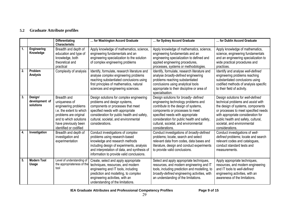# **5.2 Graduate Attribute profiles**

|    |                                        | <b>Differentiating</b><br><b>Characteristic</b>                                                                                                                                       | for Washington Accord Graduate                                                                                                                                                                                                                               | for Sydney Accord Graduate                                                                                                                                                                                                                                                                             | for Dublin Accord Graduate                                                                                                                                                                                                                                                          |
|----|----------------------------------------|---------------------------------------------------------------------------------------------------------------------------------------------------------------------------------------|--------------------------------------------------------------------------------------------------------------------------------------------------------------------------------------------------------------------------------------------------------------|--------------------------------------------------------------------------------------------------------------------------------------------------------------------------------------------------------------------------------------------------------------------------------------------------------|-------------------------------------------------------------------------------------------------------------------------------------------------------------------------------------------------------------------------------------------------------------------------------------|
| 1. | Engineering<br>Knowledge               | Breadth and depth of<br>education and type of<br>knowledge, both<br>theoretical and<br>practical                                                                                      | Apply knowledge of mathematics, science,<br>engineering fundamentals and an<br>engineering specialization to the solution<br>of complex engineering problems                                                                                                 | Apply knowledge of mathematics, science,<br>engineering fundamentals and an<br>engineering specialization to defined and<br>applied engineering procedures,<br>processes, systems or methodologies.                                                                                                    | Apply knowledge of mathematics,<br>science, engineering fundamentals<br>and an engineering specialization to<br>wide practical procedures and<br>practices.                                                                                                                         |
| 2. | Problem<br><b>Analysis</b>             | Complexity of analysis                                                                                                                                                                | Identify, formulate, research literature and<br>analyse complex engineering problems<br>reaching substantiated conclusions using<br>first principles of mathematics, natural<br>sciences and engineering sciences.                                           | Identify, formulate, research literature and<br>analyse broadly-defined engineering<br>problems reaching substantiated<br>conclusions using analytical tools<br>appropriate to their discipline or area of<br>specialisation.                                                                          | Identify and analyse well-defined<br>engineering problems reaching<br>substantiated conclusions using<br>codified methods of analysis specific<br>to their field of activity.                                                                                                       |
| 3. | Design/<br>development of<br>solutions | Breadth and<br>uniqueness of<br>engineering problems<br>i.e. the extent to which<br>problems are original<br>and to which solutions<br>have previously been<br>identified or codified | Design solutions for complex engineering<br>problems and design systems,<br>components or processes that meet<br>specified needs with appropriate<br>consideration for public health and safety,<br>cultural, societal, and environmental<br>considerations. | Design solutions for broadly- defined<br>engineering technology problems and<br>contribute to the design of systems,<br>components or processes to meet<br>specified needs with appropriate<br>consideration for public health and safety,<br>cultural, societal, and environmental<br>considerations. | Design solutions for well-defined<br>technical problems and assist with<br>the design of systems, components<br>or processes to meet specified needs<br>with appropriate consideration for<br>public health and safety, cultural,<br>societal, and environmental<br>considerations. |
| 4. | Investigation                          | Breadth and depth of<br>investigation and<br>experimentation                                                                                                                          | Conduct investigations of complex<br>problems using research-based<br>knowledge and research methods<br>including design of experiments, analysis<br>and interpretation of data, and synthesis of<br>information to provide valid conclusions.               | Conduct investigations of broadly-defined<br>problems; locate, search and select<br>relevant data from codes, data bases and<br>literature, design and conduct experiments<br>to provide valid conclusions.                                                                                            | Conduct investigations of well-<br>defined problems; locate and search<br>relevant codes and catalogues,<br>conduct standard tests and<br>measurements.                                                                                                                             |
| 5. | <b>Modern Tool</b><br>Usage            | Level of understanding of<br>the appropriateness of the<br>tool                                                                                                                       | Create, select and apply appropriate<br>techniques, resources, and modern<br>engineering and IT tools, including<br>prediction and modelling, to complex<br>engineering activities, with an<br>understanding of the limitations.                             | Select and apply appropriate techniques,<br>resources, and modern engineering and IT<br>tools, including prediction and modelling, to<br>broadly-defined engineering activities, with<br>an understanding of the limitations.                                                                          | Apply appropriate techniques,<br>resources, and modern engineering<br>and IT tools to well-defined<br>engineering activities, with an<br>awareness of the limitations.                                                                                                              |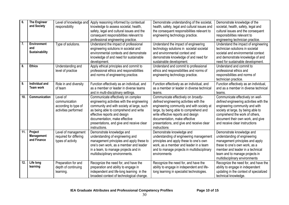| 6.                | <b>The Engineer</b><br>and Society          | Level of knowledge and<br>responsibility                                  | Apply reasoning informed by contextual<br>knowledge to assess societal, health,<br>safety, legal and cultural issues and the<br>consequent responsibilities relevant to                                                                                                                                | Demonstrate understanding of the societal,<br>health, safety, legal and cultural issues and<br>the consequent responsibilities relevant to<br>engineering technology practice.                                                                                                                            | Demonstrate knowledge of the<br>societal, health, safety, legal and<br>cultural issues and the consequent<br>responsibilities relevant to                                                                                                                    |
|-------------------|---------------------------------------------|---------------------------------------------------------------------------|--------------------------------------------------------------------------------------------------------------------------------------------------------------------------------------------------------------------------------------------------------------------------------------------------------|-----------------------------------------------------------------------------------------------------------------------------------------------------------------------------------------------------------------------------------------------------------------------------------------------------------|--------------------------------------------------------------------------------------------------------------------------------------------------------------------------------------------------------------------------------------------------------------|
| 7.                | <b>Environment</b><br>and<br>Sustainability | Type of solutions.                                                        | professional engineering practice.<br>Understand the impact of professional<br>engineering solutions in societal and<br>environmental contexts and demonstrate<br>knowledge of and need for sustainable<br>development.                                                                                | Understand the impact of engineering<br>technology solutions in societal societal<br>and environmental context and<br>demonstrate knowledge of and need for<br>sustainable development.                                                                                                                   | engineering technician practice.<br>Understand the impact of engineering<br>technician solutions in societal<br>societal and environmental context<br>and demonstrate knowledge of and<br>need for sustainable development.                                  |
| 8.                | <b>Ethics</b>                               | Understanding and<br>level of practice                                    | Apply ethical principles and commit to<br>professional ethics and responsibilities<br>and norms of engineering practice.                                                                                                                                                                               | Understand and commit to professional<br>ethics and responsibilities and norms of<br>engineering technology practice.                                                                                                                                                                                     | Understand and commit to<br>professional ethics and<br>responsibilities and norms of<br>technician practice.                                                                                                                                                 |
| 9.                | Individual and<br>Team work                 | Role in and diversity<br>of team                                          | Function effectively as an individual, and<br>as a member or leader in diverse teams<br>and in multi-disciplinary settings.                                                                                                                                                                            | Function effectively as an individual, and<br>as a member or leader in diverse technical<br>teams.                                                                                                                                                                                                        | Function effectively as an individual,<br>and as a member in diverse technical<br>teams.                                                                                                                                                                     |
| 10.               | Communication                               | Level of<br>communication<br>according to type of<br>activities performed | Communicate effectively on complex<br>engineering activities with the engineering<br>community and with society at large, such<br>as being able to comprehend and write<br>effective reports and design<br>documentation, make effective<br>presentations, and give and receive clear<br>instructions. | Communicate effectively on broadly-<br>defined engineering activities with the<br>engineering community and with society at<br>large, by being able to comprehend and<br>write effective reports and design<br>documentation, make effective<br>presentations, and give and receive clear<br>instructions | Communicate effectively on well-<br>defined engineering activities with the<br>engineering community and with<br>society at large, by being able to<br>comprehend the work of others,<br>document their own work, and give<br>and receive clear instructions |
| $\overline{11}$ . | Project<br><b>Management</b><br>and Finance | Level of management<br>required for differing<br>types of activity        | Demonstrate knowledge and<br>understanding of engineering and<br>management principles and apply these to<br>one's own work, as a member and leader<br>in a team, to manage projects and in<br>multidisciplinary environments.                                                                         | Demonstrate knowledge and<br>understanding of engineering management<br>principles and apply these to one's own<br>work, as a member and leader in a team<br>and to manage projects in multidisciplinary<br>environments                                                                                  | Demonstrate knowledge and<br>understanding of engineering<br>management principles and apply<br>these to one's own work, as a<br>member and leader in a technical<br>team and to manage projects in<br>multidisciplinary environments                        |
| 12.               | Life long<br>learning                       | Preparation for and<br>depth of continuing<br>learning.                   | Recognize the need for, and have the<br>preparation and ability to engage in<br>independent and life-long learning in the<br>broadest context of technological change.                                                                                                                                 | Recognize the need for, and have the<br>ability to engage in independent and life-<br>long learning in specialist technologies.                                                                                                                                                                           | Recognize the need for, and have the<br>ability to engage in independent<br>updating in the context of specialized<br>technical knowledge.                                                                                                                   |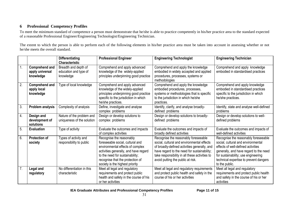# **6 Professional Competency Profiles**

To meet the minimum standard of competence a person must demonstrate that he/she is able to practice competently in his/her practice area to the standard expected of a reasonable Professional Engineer/Engineering Technologist/Engineering Technician.

The extent to which the person is able to perform each of the following elements in his/her practice area must be taken into account in assessing whether or not he/she meets the overall standard.

|    |                                                       | <b>Differentiating</b><br><b>Characteristic</b>            | <b>Professional Engineer</b>                                                                                                                                                                                                                        | <b>Engineering Technologist</b>                                                                                                                                                                                                                                          | <b>Engineering Technician</b>                                                                                                                                                                                                                                 |
|----|-------------------------------------------------------|------------------------------------------------------------|-----------------------------------------------------------------------------------------------------------------------------------------------------------------------------------------------------------------------------------------------------|--------------------------------------------------------------------------------------------------------------------------------------------------------------------------------------------------------------------------------------------------------------------------|---------------------------------------------------------------------------------------------------------------------------------------------------------------------------------------------------------------------------------------------------------------|
| 1. | <b>Comprehend and</b><br>apply universal<br>knowledge | Breadth and depth of<br>education and type of<br>knowledge | Comprehend and apply advanced<br>knowledge of the widely-applied<br>principles underpinning good practice                                                                                                                                           | Comprehend and apply the knowledge<br>embodied in widely accepted and applied<br>procedures, processes, systems or<br>methodologies                                                                                                                                      | Comprehend and apply knowledge<br>embodied in standardised practices                                                                                                                                                                                          |
| 2. | <b>Comprehend and</b><br>apply local<br>knowledge     | Type of local knowledge                                    | Comprehend and apply advanced<br>knowledge of the widely-applied<br>principles underpinning good practice<br>specific to the jurisdiction in which<br>he/she practices.                                                                             | Comprehend and apply the knowledge<br>embodied procedures, processes,<br>systems or methodologies that is specific<br>to the jurisdiction in which he/she<br>practices.                                                                                                  | Comprehend and apply knowledge<br>embodied in standardised practices<br>specific to the jurisdiction in which<br>he/she practices.                                                                                                                            |
| 3. | Problem analysis                                      | Complexity of analysis                                     | Define, investigate and analyse<br>complex problems                                                                                                                                                                                                 | Identify, clarify, and analyse broadly-<br>defined problems                                                                                                                                                                                                              | Identify, state and analyse well-defined<br>problems                                                                                                                                                                                                          |
| 4. | Design and<br>development of<br>solutions             | Nature of the problem and<br>uniqueness of the solution    | Design or develop solutions to<br>complex problems                                                                                                                                                                                                  | Design or develop solutions to broadly-<br>defined problems                                                                                                                                                                                                              | Design or develop solutions to well-<br>defined problems                                                                                                                                                                                                      |
| 5. | <b>Evaluation</b>                                     | Type of activity                                           | Evaluate the outcomes and impacts<br>of complex activities                                                                                                                                                                                          | Evaluate the outcomes and impacts of<br>broadly defined activities                                                                                                                                                                                                       | Evaluate the outcomes and impacts of<br>well-defined activities                                                                                                                                                                                               |
| 6. | <b>Protection of</b><br>society                       | Types of activity and<br>responsibility to public          | Recognise the reasonably<br>foreseeable social, cultural and<br>environmental effects of complex<br>activities generally, and have regard<br>to the need for sustainability;<br>recognise that the protection of<br>society is the highest priority | Recognise the reasonably foreseeable<br>social, cultural and environmental effects<br>of broadly-defined activities generally, and<br>have regard to the need for sustainability;<br>take responsibility in all these activities to<br>avoid putting the public at risk. | Recognise the reasonably foreseeable<br>social, cultural and environmental<br>effects of well-defined activities<br>generally, and have regard to the need<br>for sustainability; use engineering<br>technical expertise to prevent dangers<br>to the public. |
| 7. | <b>Legal and</b><br>regulatory                        | No differentiation in this<br>characteristic               | Meet all legal and regulatory<br>requirements and protect public<br>health and safety in the course of his<br>or her activities                                                                                                                     | Meet all legal and regulatory requirements<br>and protect public health and safety in the<br>course of his or her activities                                                                                                                                             | Meet all legal and regulatory<br>requirements and protect public health<br>and safety in the course of his or her<br>activities                                                                                                                               |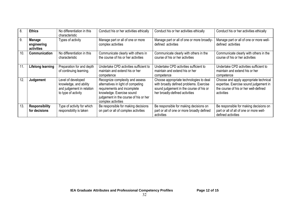| 8.  | <b>Ethics</b>                              | No differentiation in this<br>characteristic                                                     | Conduct his or her activities ethically                                                                                                                                                          | Conduct his or her activities ethically                                                                                                                         | Conduct his or her activities ethically                                                                                                 |
|-----|--------------------------------------------|--------------------------------------------------------------------------------------------------|--------------------------------------------------------------------------------------------------------------------------------------------------------------------------------------------------|-----------------------------------------------------------------------------------------------------------------------------------------------------------------|-----------------------------------------------------------------------------------------------------------------------------------------|
| 9.  | <b>Manage</b><br>engineering<br>activities | Types of activity                                                                                | Manage part or all of one or more<br>complex activities                                                                                                                                          | Manage part or all of one or more broadly-<br>defined activities                                                                                                | Manage part or all of one or more well-<br>defined activities                                                                           |
| 10. | Communication                              | No differentiation in this<br>characteristic                                                     | Communicate clearly with others in<br>the course of his or her activities                                                                                                                        | Communicate clearly with others in the<br>course of his or her activities                                                                                       | Communicate clearly with others in the<br>course of his or her activities                                                               |
| 11. | Lifelong learning                          | Preparation for and depth<br>of continuing learning.                                             | Undertake CPD activities sufficient to<br>maintain and extend his or her<br>competence                                                                                                           | Undertake CPD activities sufficient to<br>maintain and extend his or her<br>competence                                                                          | Undertake CPD activities sufficient to<br>maintain and extend his or her<br>competence                                                  |
| 12  | Judgement                                  | Level of developed<br>knowledge, and ability<br>and judgement in relation<br>to type of activity | Recognize complexity and assess<br>alternatives in light of competing<br>requirements and incomplete<br>knowledge. Exercise sound<br>judgement in the course of his or her<br>complex activities | Choose appropriate technologies to deal<br>with broadly defined problems. Exercise<br>sound judgement in the course of his or<br>her broadly-defined activities | Choose and apply appropriate technical<br>expertise. Exercise sound judgement in<br>the course of his or her well-defined<br>activities |
| 13. | <b>Responsibility</b><br>for decisions     | Type of activity for which<br>responsibility is taken                                            | Be responsible for making decisions<br>on part or all of complex activities                                                                                                                      | Be responsible for making decisions on<br>part or all of one or more broadly defined<br>activities                                                              | Be responsible for making decisions on<br>part or all of all of one or more well-<br>defined activities                                 |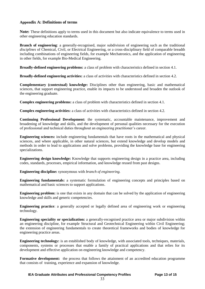## **Appendix A: Definitions of terms**

**Note:** These definitions apply to terms used in this document but also indicate equivalence to terms used in other engineering education standards.

**Branch of engineering**: a generally-recognised, major subdivision of engineering such as the traditional *disciplines* of Chemical, Civil, or Electrical Engineering, or a cross-disciplinary field of comparable breadth including combinations of engineering fields, for example Mechatronics, and the application of engineering in other fields, for example Bio-Medical Engineering.

**Broadly-defined engineering problems:** a class of problem with characteristics defined in section 4.1.

**Broadly-defined engineering activities:** a class of activities with characteristics defined in section 4.2.

**Complementary (contextual) knowledge:** Disciplines other than engineering, basic and mathematical sciences, that support engineering practice, enable its impacts to be understood and broaden the outlook of the engineering graduate.

**Complex engineering problems:** a class of problem with characteristics defined in section 4.1.

**Complex engineering activities:** a class of activities with characteristics defined in section 4.2.

**Continuing Professional Development:** the systematic, accountable maintenance, improvement and broadening of knowledge and skills, and the development of personal qualities necessary for the execution of professional and technical duties throughout an engineering practitioner's career.

**Engineering sciences:** include engineering fundamentals that have roots in the mathematical and physical sciences, and where applicable, in other natural sciences, but extend knowledge and develop models and methods in order to lead to applications and solve problems, providing the knowledge base for engineering specializations.

**Engineering design knowledge:** Knowledge that supports engineering design in a practice area, including codes, standards, processes, empirical information, and knowledge reused from past designs.

**Engineering discipline:** synonymous with *branch of engineering.*

**Engineering fundamentals:** a systematic formulation of engineering concepts and principles based on mathematical and basic sciences to support applications.

**Engineering problem:** is one that exists in any domain that can be solved by the application of engineering knowledge and skills and generic competencies.

**Engineering practice**: a generally accepted or legally defined area of engineering work or engineering technology*.*

**Engineering speciality or specialization:** a generally-recognised practice area or major subdivision within an engineering discipline, for example Structural and Geotechnical Engineering within Civil Engineering; the extension of engineering fundamentals to create theoretical frameworks and bodies of knowledge for engineering practice areas.

**Engineering technology:** is an established body of knowledge, with associated tools, techniques, materials, components, systems or processes that enable a family of practical applications and that relies for its development and effective application on engineering knowledge and competency.

**Formative development:** the process that follows the attainment of an accredited education programme that consists of training, experience and expansion of knowledge.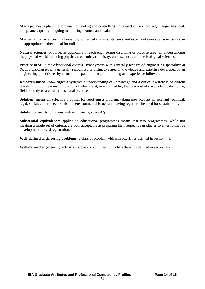**Manage:** means planning, organising, leading and controlling in respect of risk, project, change, financial, compliance, quality, ongoing monitoring, control and evaluation.

**Mathematical sciences:** mathematics, numerical analysis, statistics and aspects of computer science cast in an appropriate mathematical formalism.

**Natural sciences:** Provide, as applicable in each engineering discipline or practice area, an understanding the physical world including physics, mechanics, chemistry, earth sciences and the biological sciences,

P**ractice area:** *in the educational context:* synonymous with generally-recognised engineering speciality; *at the professional level:* a generally recognised or distinctive area of knowledge and expertise developed by an engineering practitioner by virtue of the path of education, training and experience followed.

**Research-based knowledge:** a systematic understanding of knowledge and a critical awareness of current problems and/or new insights, much of which is at, or informed by, the forefront of the academic discipline, field of study or area of professional practice.

**Solution:** means an effective proposal for resolving a problem, taking into account all relevant technical, legal, social, cultural, economic and environmental issues and having regard to the need for sustainability.

**Subdiscipline:** Synonymous with *engineering speciality*.

**Substantial equivalence:** applied to educational programmes means that two programmes, while not meeting a single set of criteria, are both acceptable as preparing their respective graduates to enter formative development toward registration.

**Well-defined engineering problems:** a class of problem with characteristics defined in section 4.1.

**Well-defined engineering activities:** a class of activities with characteristics defined in section 4.2.